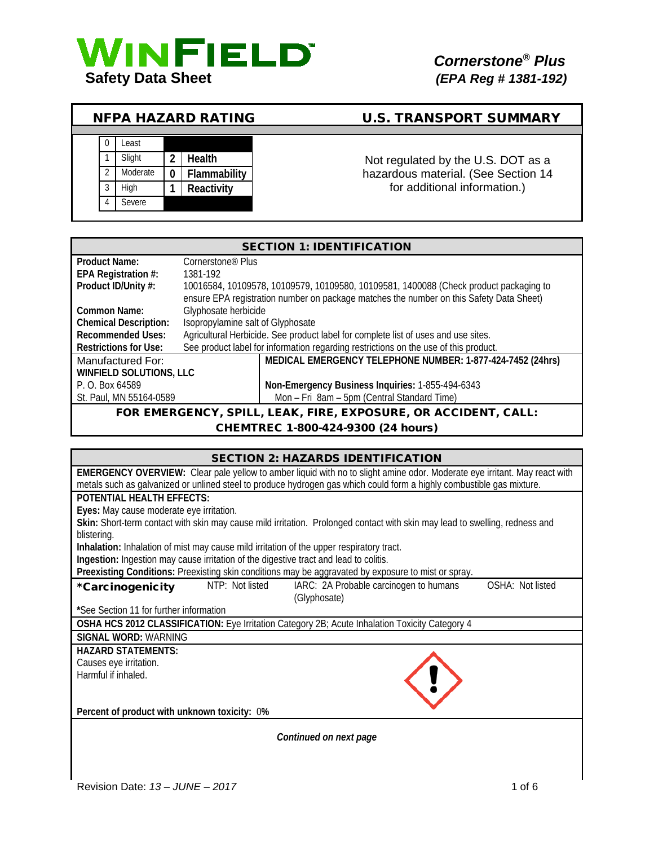

# NFPA HAZARD RATING U.S. TRANSPORT SUMMARY



Not regulated by the U.S. DOT as a hazardous material. (See Section 14 for additional information.)

| <b>SECTION 1: IDENTIFICATION</b> |                                                                                         |                                                                                      |  |
|----------------------------------|-----------------------------------------------------------------------------------------|--------------------------------------------------------------------------------------|--|
| <b>Product Name:</b>             | Cornerstone <sup>®</sup> Plus                                                           |                                                                                      |  |
| EPA Registration #:              | 1381-192                                                                                |                                                                                      |  |
| Product ID/Unity #:              | 10016584, 10109578, 10109579, 10109580, 10109581, 1400088 (Check product packaging to   |                                                                                      |  |
|                                  | ensure EPA registration number on package matches the number on this Safety Data Sheet) |                                                                                      |  |
| Common Name:                     | Glyphosate herbicide                                                                    |                                                                                      |  |
| <b>Chemical Description:</b>     | Isopropylamine salt of Glyphosate                                                       |                                                                                      |  |
| <b>Recommended Uses:</b>         | Agricultural Herbicide. See product label for complete list of uses and use sites.      |                                                                                      |  |
| <b>Restrictions for Use:</b>     |                                                                                         | See product label for information regarding restrictions on the use of this product. |  |
| Manufactured For:                |                                                                                         | MEDICAL EMERGENCY TELEPHONE NUMBER: 1-877-424-7452 (24hrs)                           |  |
| <b>WINFIELD SOLUTIONS, LLC</b>   |                                                                                         |                                                                                      |  |
| P. O. Box 64589                  |                                                                                         | Non-Emergency Business Inquiries: 1-855-494-6343                                     |  |
| St. Paul, MN 55164-0589          |                                                                                         | Mon - Fri 8am - 5pm (Central Standard Time)                                          |  |
|                                  | FOR EMERGENCY, SPILL, LEAK, FIRE, EXPOSURE, OR ACCIDENT, CALL:                          |                                                                                      |  |

CHEMTREC 1-800-424-9300 (24 hours)

| <b>SECTION 2: HAZARDS IDENTIFICATION</b>                                                                                                   |
|--------------------------------------------------------------------------------------------------------------------------------------------|
| EMERGENCY OVERVIEW: Clear pale yellow to amber liquid with no to slight amine odor. Moderate eye irritant. May react with                  |
| metals such as galvanized or unlined steel to produce hydrogen gas which could form a highly combustible gas mixture.                      |
| POTENTIAL HEALTH EFFECTS:                                                                                                                  |
| Eyes: May cause moderate eye irritation.                                                                                                   |
| Skin: Short-term contact with skin may cause mild irritation. Prolonged contact with skin may lead to swelling, redness and<br>blistering. |
| Inhalation: Inhalation of mist may cause mild irritation of the upper respiratory tract.                                                   |
| Ingestion: Ingestion may cause irritation of the digestive tract and lead to colitis.                                                      |
| Preexisting Conditions: Preexisting skin conditions may be aggravated by exposure to mist or spray.                                        |
| OSHA: Not listed<br>NTP: Not listed<br>IARC: 2A Probable carcinogen to humans<br>*Carcinogenicity<br>(Glyphosate)                          |
| *See Section 11 for further information                                                                                                    |
| OSHA HCS 2012 CLASSIFICATION: Eye Irritation Category 2B; Acute Inhalation Toxicity Category 4                                             |
| SIGNAL WORD: WARNING                                                                                                                       |
| <b>HAZARD STATEMENTS:</b>                                                                                                                  |
| Causes eye irritation.                                                                                                                     |
| Harmful if inhaled.                                                                                                                        |
|                                                                                                                                            |
| Percent of product with unknown toxicity: 0%                                                                                               |
|                                                                                                                                            |
| Continued on next page                                                                                                                     |
|                                                                                                                                            |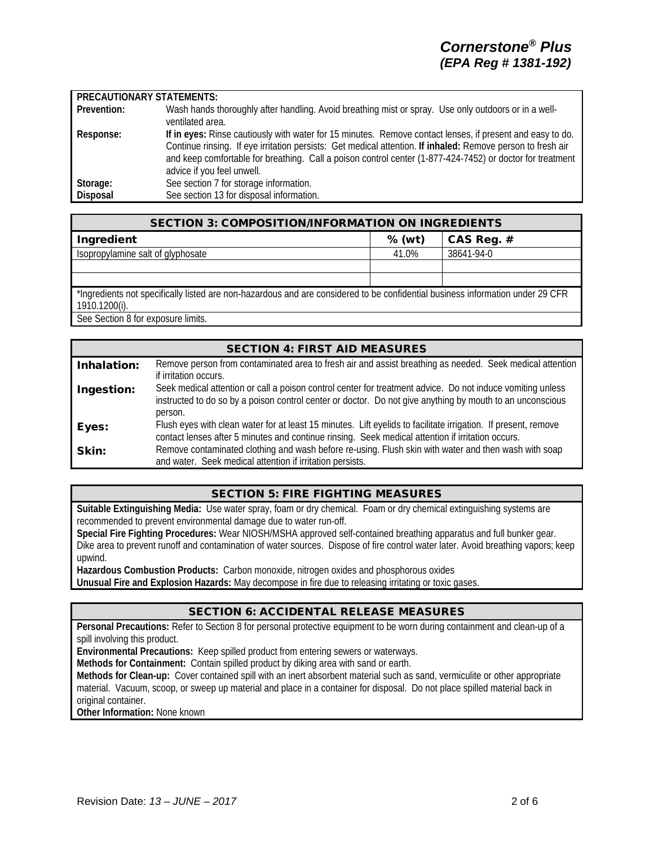## **PRECAUTIONARY STATEMENTS:**

| Prevention: | Wash hands thoroughly after handling. Avoid breathing mist or spray. Use only outdoors or in a well-<br>ventilated area.                                                                                                                                                                                                                                            |
|-------------|---------------------------------------------------------------------------------------------------------------------------------------------------------------------------------------------------------------------------------------------------------------------------------------------------------------------------------------------------------------------|
| Response:   | If in eyes: Rinse cautiously with water for 15 minutes. Remove contact lenses, if present and easy to do.<br>Continue rinsing. If eye irritation persists: Get medical attention. If inhaled: Remove person to fresh air<br>and keep comfortable for breathing. Call a poison control center (1-877-424-7452) or doctor for treatment<br>advice if you feel unwell. |
| Storage:    | See section 7 for storage information.                                                                                                                                                                                                                                                                                                                              |
| Disposal    | See section 13 for disposal information.                                                                                                                                                                                                                                                                                                                            |

| <b>SECTION 3: COMPOSITION/INFORMATION ON INGREDIENTS</b>                                                                                        |          |            |
|-------------------------------------------------------------------------------------------------------------------------------------------------|----------|------------|
| Ingredient                                                                                                                                      | $%$ (wt) | CAS Reg. # |
| Isopropylamine salt of glyphosate                                                                                                               | 41.0%    | 38641-94-0 |
|                                                                                                                                                 |          |            |
|                                                                                                                                                 |          |            |
| *Ingredients not specifically listed are non-hazardous and are considered to be confidential business information under 29 CFR<br>1910.1200(i). |          |            |
| See Section 8 for exposure limits.                                                                                                              |          |            |

|             | <b>SECTION 4: FIRST AID MEASURES</b>                                                                                                                                                                                               |
|-------------|------------------------------------------------------------------------------------------------------------------------------------------------------------------------------------------------------------------------------------|
|             | Remove person from contaminated area to fresh air and assist breathing as needed. Seek medical attention                                                                                                                           |
| Inhalation: | if irritation occurs.                                                                                                                                                                                                              |
| Ingestion:  | Seek medical attention or call a poison control center for treatment advice. Do not induce vomiting unless<br>instructed to do so by a poison control center or doctor. Do not give anything by mouth to an unconscious<br>person. |
| Eyes:       | Flush eyes with clean water for at least 15 minutes. Lift eyelids to facilitate irrigation. If present, remove<br>contact lenses after 5 minutes and continue rinsing. Seek medical attention if irritation occurs.                |
| Skin:       | Remove contaminated clothing and wash before re-using. Flush skin with water and then wash with soap<br>and water. Seek medical attention if irritation persists.                                                                  |

### SECTION 5: FIRE FIGHTING MEASURES

**Suitable Extinguishing Media:** Use water spray, foam or dry chemical. Foam or dry chemical extinguishing systems are recommended to prevent environmental damage due to water run-off.

**Special Fire Fighting Procedures:** Wear NIOSH/MSHA approved self-contained breathing apparatus and full bunker gear. Dike area to prevent runoff and contamination of water sources. Dispose of fire control water later. Avoid breathing vapors; keep upwind.

**Hazardous Combustion Products:** Carbon monoxide, nitrogen oxides and phosphorous oxides

**Unusual Fire and Explosion Hazards:** May decompose in fire due to releasing irritating or toxic gases.

# SECTION 6: ACCIDENTAL RELEASE MEASURES

**Personal Precautions:** Refer to Section 8 for personal protective equipment to be worn during containment and clean-up of a spill involving this product.

**Environmental Precautions:** Keep spilled product from entering sewers or waterways.

**Methods for Containment:** Contain spilled product by diking area with sand or earth.

**Methods for Clean-up:** Cover contained spill with an inert absorbent material such as sand, vermiculite or other appropriate material. Vacuum, scoop, or sweep up material and place in a container for disposal. Do not place spilled material back in original container.

**Other Information:** None known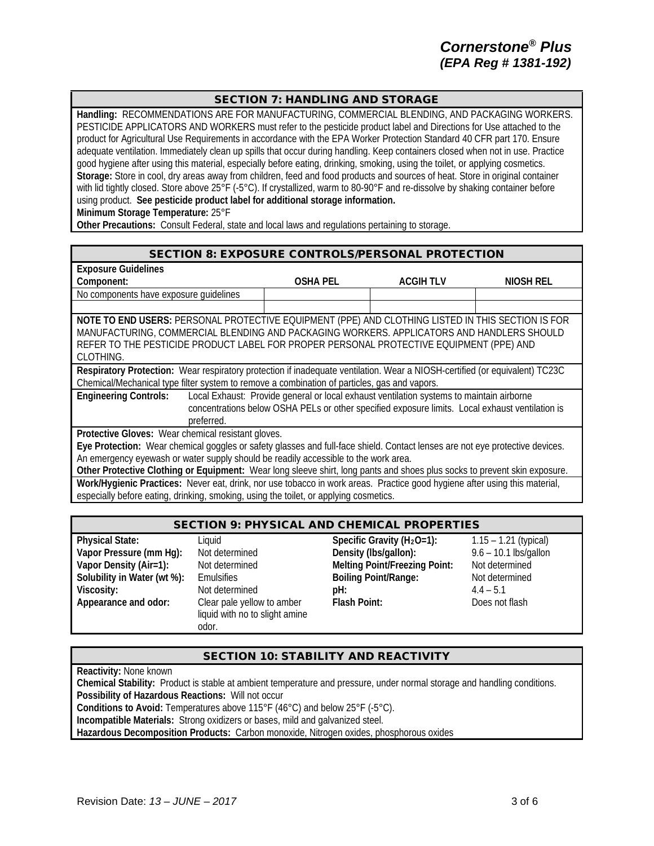# SECTION 7: HANDLING AND STORAGE

**Handling:** RECOMMENDATIONS ARE FOR MANUFACTURING, COMMERCIAL BLENDING, AND PACKAGING WORKERS. PESTICIDE APPLICATORS AND WORKERS must refer to the pesticide product label and Directions for Use attached to the product for Agricultural Use Requirements in accordance with the EPA Worker Protection Standard 40 CFR part 170. Ensure adequate ventilation. Immediately clean up spills that occur during handling. Keep containers closed when not in use. Practice good hygiene after using this material, especially before eating, drinking, smoking, using the toilet, or applying cosmetics. **Storage:** Store in cool, dry areas away from children, feed and food products and sources of heat. Store in original container with lid tightly closed. Store above 25°F (-5°C). If crystallized, warm to 80-90°F and re-dissolve by shaking container before using product. **See pesticide product label for additional storage information. Minimum Storage Temperature:** 25°F

**Other Precautions:** Consult Federal, state and local laws and regulations pertaining to storage.

#### SECTION 8: EXPOSURE CONTROLS/PERSONAL PROTECTION

| <b>Exposure Guidelines</b>                                                                                                   |                 |                                                                                                 |           |
|------------------------------------------------------------------------------------------------------------------------------|-----------------|-------------------------------------------------------------------------------------------------|-----------|
| Component:                                                                                                                   | <b>OSHA PEL</b> | ACGIH TLV                                                                                       | NIOSH REL |
| No components have exposure quidelines                                                                                       |                 |                                                                                                 |           |
|                                                                                                                              |                 |                                                                                                 |           |
| NOTE TO END USERS: PERSONAL PROTECTIVE EQUIPMENT (PPE) AND CLOTHING LISTED IN THIS SECTION IS FOR                            |                 |                                                                                                 |           |
| MANUFACTURING, COMMERCIAL BLENDING AND PACKAGING WORKERS. APPLICATORS AND HANDLERS SHOULD                                    |                 |                                                                                                 |           |
| REFER TO THE PESTICIDE PRODUCT LABEL FOR PROPER PERSONAL PROTECTIVE EQUIPMENT (PPE) AND                                      |                 |                                                                                                 |           |
| CLOTHING.                                                                                                                    |                 |                                                                                                 |           |
| Respiratory Protection: Wear respiratory protection if inadequate ventilation. Wear a NIOSH-certified (or equivalent) TC23C  |                 |                                                                                                 |           |
| Chemical/Mechanical type filter system to remove a combination of particles, gas and vapors.                                 |                 |                                                                                                 |           |
| <b>Engineering Controls:</b>                                                                                                 |                 | Local Exhaust: Provide general or local exhaust ventilation systems to maintain airborne        |           |
|                                                                                                                              |                 | concentrations below OSHA PELs or other specified exposure limits. Local exhaust ventilation is |           |
| preferred.                                                                                                                   |                 |                                                                                                 |           |
| Protective Gloves: Wear chemical resistant gloves.                                                                           |                 |                                                                                                 |           |
| Eye Protection: Wear chemical goggles or safety glasses and full-face shield. Contact lenses are not eye protective devices. |                 |                                                                                                 |           |
| An emergency eyewash or water supply should be readily accessible to the work area.                                          |                 |                                                                                                 |           |
| Other Protective Clothing or Equipment: Wear long sleeve shirt, long pants and shoes plus socks to prevent skin exposure.    |                 |                                                                                                 |           |
| Work/Hygienic Practices: Never eat, drink, nor use tobacco in work areas. Practice good hygiene after using this material,   |                 |                                                                                                 |           |
| especially before eating, drinking, smoking, using the toilet, or applying cosmetics.                                        |                 |                                                                                                 |           |

# SECTION 9: PHYSICAL AND CHEMICAL PROPERTIES

| <b>Physical State:</b>      | Liguid                         | Specific Gravity $(H_2O=1)$ :        | $1.15 - 1.21$ (typical) |
|-----------------------------|--------------------------------|--------------------------------------|-------------------------|
| Vapor Pressure (mm Hg):     | Not determined                 | Density (lbs/gallon):                | $9.6 - 10.1$ lbs/gallon |
| Vapor Density (Air=1):      | Not determined                 | <b>Melting Point/Freezing Point:</b> | Not determined          |
| Solubility in Water (wt %): | Emulsifies                     | <b>Boiling Point/Range:</b>          | Not determined          |
| Viscosity:                  | Not determined                 | pH:                                  | $4.4 - 5.1$             |
| Appearance and odor:        | Clear pale yellow to amber     | <b>Flash Point:</b>                  | Does not flash          |
|                             | liquid with no to slight amine |                                      |                         |
|                             | odor.                          |                                      |                         |

# SECTION 10: STABILITY AND REACTIVITY

**Reactivity:** None known **Chemical Stability:** Product is stable at ambient temperature and pressure, under normal storage and handling conditions. **Possibility of Hazardous Reactions:** Will not occur **Conditions to Avoid:** Temperatures above 115°F (46°C) and below 25°F (-5°C). **Incompatible Materials:** Strong oxidizers or bases, mild and galvanized steel. **Hazardous Decomposition Products:** Carbon monoxide, Nitrogen oxides, phosphorous oxides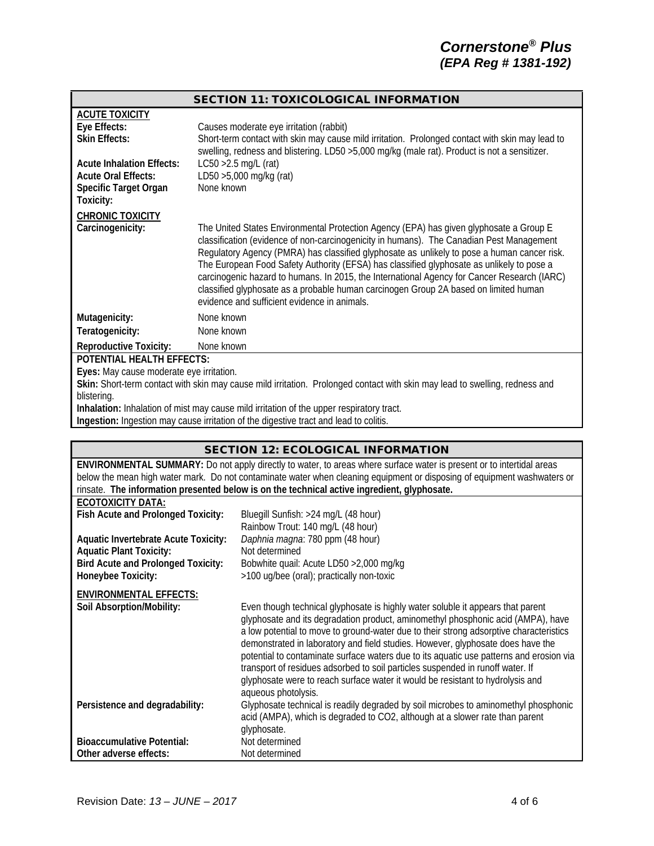#### SECTION 11: TOXICOLOGICAL INFORMATION

| <b>ACUTE TOXICITY</b>                    |                                                                                                                                                                                                                                                                                                                                                                                                                                                                                                                                                                                                                       |
|------------------------------------------|-----------------------------------------------------------------------------------------------------------------------------------------------------------------------------------------------------------------------------------------------------------------------------------------------------------------------------------------------------------------------------------------------------------------------------------------------------------------------------------------------------------------------------------------------------------------------------------------------------------------------|
| Eye Effects:                             | Causes moderate eye irritation (rabbit)                                                                                                                                                                                                                                                                                                                                                                                                                                                                                                                                                                               |
| <b>Skin Effects:</b>                     | Short-term contact with skin may cause mild irritation. Prolonged contact with skin may lead to<br>swelling, redness and blistering. LD50 >5,000 mg/kg (male rat). Product is not a sensitizer.                                                                                                                                                                                                                                                                                                                                                                                                                       |
| <b>Acute Inhalation Effects:</b>         | $LC50 > 2.5$ mg/L (rat)                                                                                                                                                                                                                                                                                                                                                                                                                                                                                                                                                                                               |
| <b>Acute Oral Effects:</b>               | LD50 >5,000 mg/kg (rat)                                                                                                                                                                                                                                                                                                                                                                                                                                                                                                                                                                                               |
| Specific Target Organ                    | None known                                                                                                                                                                                                                                                                                                                                                                                                                                                                                                                                                                                                            |
| Toxicity:                                |                                                                                                                                                                                                                                                                                                                                                                                                                                                                                                                                                                                                                       |
| <b>CHRONIC TOXICITY</b>                  |                                                                                                                                                                                                                                                                                                                                                                                                                                                                                                                                                                                                                       |
| Carcinogenicity:                         | The United States Environmental Protection Agency (EPA) has given glyphosate a Group E<br>classification (evidence of non-carcinogenicity in humans). The Canadian Pest Management<br>Regulatory Agency (PMRA) has classified glyphosate as unlikely to pose a human cancer risk.<br>The European Food Safety Authority (EFSA) has classified glyphosate as unlikely to pose a<br>carcinogenic hazard to humans. In 2015, the International Agency for Cancer Research (IARC)<br>classified glyphosate as a probable human carcinogen Group 2A based on limited human<br>evidence and sufficient evidence in animals. |
| Mutagenicity:                            | None known                                                                                                                                                                                                                                                                                                                                                                                                                                                                                                                                                                                                            |
| Teratogenicity:                          | None known                                                                                                                                                                                                                                                                                                                                                                                                                                                                                                                                                                                                            |
| <b>Reproductive Toxicity:</b>            | None known                                                                                                                                                                                                                                                                                                                                                                                                                                                                                                                                                                                                            |
| <b>POTENTIAL HEALTH EFFECTS:</b>         |                                                                                                                                                                                                                                                                                                                                                                                                                                                                                                                                                                                                                       |
| Eyes: May cause moderate eye irritation. |                                                                                                                                                                                                                                                                                                                                                                                                                                                                                                                                                                                                                       |
|                                          | Skin: Short-term contact with skin may cause mild irritation. Prolonged contact with skin may lead to swelling, redness and                                                                                                                                                                                                                                                                                                                                                                                                                                                                                           |

blistering.

**Inhalation:** Inhalation of mist may cause mild irritation of the upper respiratory tract.

**Ingestion:** Ingestion may cause irritation of the digestive tract and lead to colitis.

| <b>SECTION 12: ECOLOGICAL INFORMATION</b>                                                                                    |                                                                                                                                                                                                                                                                                                                                                                                                                                                                                                                                                                                                                                        |  |
|------------------------------------------------------------------------------------------------------------------------------|----------------------------------------------------------------------------------------------------------------------------------------------------------------------------------------------------------------------------------------------------------------------------------------------------------------------------------------------------------------------------------------------------------------------------------------------------------------------------------------------------------------------------------------------------------------------------------------------------------------------------------------|--|
| <b>ENVIRONMENTAL SUMMARY:</b> Do not apply directly to water, to areas where surface water is present or to intertidal areas |                                                                                                                                                                                                                                                                                                                                                                                                                                                                                                                                                                                                                                        |  |
| below the mean high water mark. Do not contaminate water when cleaning equipment or disposing of equipment washwaters or     |                                                                                                                                                                                                                                                                                                                                                                                                                                                                                                                                                                                                                                        |  |
|                                                                                                                              | rinsate. The information presented below is on the technical active ingredient, glyphosate.                                                                                                                                                                                                                                                                                                                                                                                                                                                                                                                                            |  |
| <b>ECOTOXICITY DATA:</b>                                                                                                     |                                                                                                                                                                                                                                                                                                                                                                                                                                                                                                                                                                                                                                        |  |
| Fish Acute and Prolonged Toxicity:                                                                                           | Bluegill Sunfish: >24 mg/L (48 hour)                                                                                                                                                                                                                                                                                                                                                                                                                                                                                                                                                                                                   |  |
|                                                                                                                              | Rainbow Trout: 140 mg/L (48 hour)                                                                                                                                                                                                                                                                                                                                                                                                                                                                                                                                                                                                      |  |
| <b>Aquatic Invertebrate Acute Toxicity:</b>                                                                                  | Daphnia magna: 780 ppm (48 hour)                                                                                                                                                                                                                                                                                                                                                                                                                                                                                                                                                                                                       |  |
| <b>Aquatic Plant Toxicity:</b>                                                                                               | Not determined                                                                                                                                                                                                                                                                                                                                                                                                                                                                                                                                                                                                                         |  |
| <b>Bird Acute and Prolonged Toxicity:</b>                                                                                    | Bobwhite quail: Acute LD50 > 2,000 mg/kg                                                                                                                                                                                                                                                                                                                                                                                                                                                                                                                                                                                               |  |
| Honeybee Toxicity:                                                                                                           | >100 ug/bee (oral); practically non-toxic                                                                                                                                                                                                                                                                                                                                                                                                                                                                                                                                                                                              |  |
| <b>ENVIRONMENTAL EFFECTS:</b>                                                                                                |                                                                                                                                                                                                                                                                                                                                                                                                                                                                                                                                                                                                                                        |  |
| Soil Absorption/Mobility:                                                                                                    | Even though technical glyphosate is highly water soluble it appears that parent<br>glyphosate and its degradation product, aminomethyl phosphonic acid (AMPA), have<br>a low potential to move to ground-water due to their strong adsorptive characteristics<br>demonstrated in laboratory and field studies. However, glyphosate does have the<br>potential to contaminate surface waters due to its aquatic use patterns and erosion via<br>transport of residues adsorbed to soil particles suspended in runoff water. If<br>glyphosate were to reach surface water it would be resistant to hydrolysis and<br>aqueous photolysis. |  |
| Persistence and degradability:                                                                                               | Glyphosate technical is readily degraded by soil microbes to aminomethyl phosphonic<br>acid (AMPA), which is degraded to CO2, although at a slower rate than parent<br>glyphosate.                                                                                                                                                                                                                                                                                                                                                                                                                                                     |  |
| <b>Bioaccumulative Potential:</b>                                                                                            | Not determined                                                                                                                                                                                                                                                                                                                                                                                                                                                                                                                                                                                                                         |  |
| Other adverse effects:                                                                                                       | Not determined                                                                                                                                                                                                                                                                                                                                                                                                                                                                                                                                                                                                                         |  |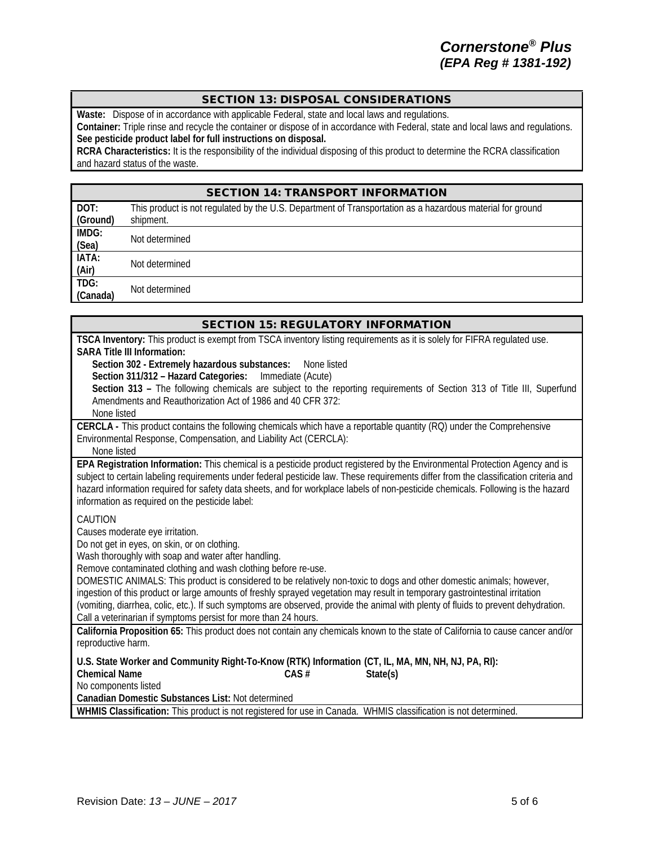# SECTION 13: DISPOSAL CONSIDERATIONS

**Waste:** Dispose of in accordance with applicable Federal, state and local laws and regulations.

**Container:** Triple rinse and recycle the container or dispose of in accordance with Federal, state and local laws and regulations. **See pesticide product label for full instructions on disposal.**

**RCRA Characteristics:** It is the responsibility of the individual disposing of this product to determine the RCRA classification and hazard status of the waste.

|                  | <b>SECTION 14: TRANSPORT INFORMATION</b>                                                                  |
|------------------|-----------------------------------------------------------------------------------------------------------|
| DOT:             | This product is not regulated by the U.S. Department of Transportation as a hazardous material for ground |
| (Ground)         | shipment.                                                                                                 |
| IMDG:<br>(Sea)   | Not determined                                                                                            |
| IATA:<br>(Air)   | Not determined                                                                                            |
| TDG:<br>(Canada) | Not determined                                                                                            |

| <b>SECTION 15: REGULATORY INFORMATION</b>                                                                                                                                                                                                            |
|------------------------------------------------------------------------------------------------------------------------------------------------------------------------------------------------------------------------------------------------------|
| TSCA Inventory: This product is exempt from TSCA inventory listing requirements as it is solely for FIFRA regulated use.<br><b>SARA Title III Information:</b>                                                                                       |
| Section 302 - Extremely hazardous substances:<br>None listed                                                                                                                                                                                         |
| Section 311/312 - Hazard Categories:<br>Immediate (Acute)                                                                                                                                                                                            |
| Section 313 - The following chemicals are subject to the reporting requirements of Section 313 of Title III, Superfund                                                                                                                               |
| Amendments and Reauthorization Act of 1986 and 40 CFR 372:                                                                                                                                                                                           |
| None listed                                                                                                                                                                                                                                          |
| CERCLA - This product contains the following chemicals which have a reportable quantity (RQ) under the Comprehensive<br>Environmental Response, Compensation, and Liability Act (CERCLA):                                                            |
| None listed                                                                                                                                                                                                                                          |
| EPA Registration Information: This chemical is a pesticide product registered by the Environmental Protection Agency and is                                                                                                                          |
| subject to certain labeling requirements under federal pesticide law. These requirements differ from the classification criteria and                                                                                                                 |
| hazard information required for safety data sheets, and for workplace labels of non-pesticide chemicals. Following is the hazard                                                                                                                     |
| information as required on the pesticide label:                                                                                                                                                                                                      |
| CAUTION                                                                                                                                                                                                                                              |
| Causes moderate eye irritation.                                                                                                                                                                                                                      |
| Do not get in eyes, on skin, or on clothing.                                                                                                                                                                                                         |
| Wash thoroughly with soap and water after handling.                                                                                                                                                                                                  |
| Remove contaminated clothing and wash clothing before re-use.                                                                                                                                                                                        |
| DOMESTIC ANIMALS: This product is considered to be relatively non-toxic to dogs and other domestic animals; however,<br>ingestion of this product or large amounts of freshly sprayed vegetation may result in temporary gastrointestinal irritation |
| (vomiting, diarrhea, colic, etc.). If such symptoms are observed, provide the animal with plenty of fluids to prevent dehydration.                                                                                                                   |
| Call a veterinarian if symptoms persist for more than 24 hours.                                                                                                                                                                                      |
| California Proposition 65: This product does not contain any chemicals known to the state of California to cause cancer and/or                                                                                                                       |
| reproductive harm.                                                                                                                                                                                                                                   |
| U.S. State Worker and Community Right-To-Know (RTK) Information (CT, IL, MA, MN, NH, NJ, PA, RI):                                                                                                                                                    |
| <b>Chemical Name</b><br>CAS#<br>State(s)                                                                                                                                                                                                             |
| No components listed                                                                                                                                                                                                                                 |
| Canadian Domestic Substances List: Not determined                                                                                                                                                                                                    |
| WHMIS Classification: This product is not registered for use in Canada. WHMIS classification is not determined.                                                                                                                                      |